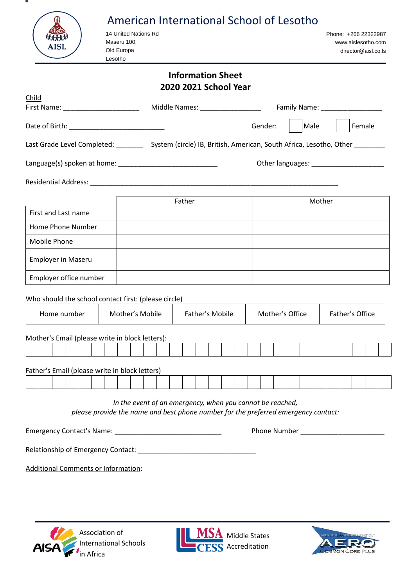| AISL                                                 | American International School of Lesotho<br>14 United Nations Rd<br>Maseru 100,<br>Old Europa<br>Lesotho                                        | Phone: +266 22322987<br>www.aislesotho.com<br>director@aisl.co.ls |
|------------------------------------------------------|-------------------------------------------------------------------------------------------------------------------------------------------------|-------------------------------------------------------------------|
|                                                      | <b>Information Sheet</b><br>2020 2021 School Year                                                                                               |                                                                   |
| Child                                                |                                                                                                                                                 |                                                                   |
| First Name: _________________________                |                                                                                                                                                 |                                                                   |
| Date of Birth: _______________________________       |                                                                                                                                                 | Gender:<br>Male<br>Female                                         |
|                                                      | Last Grade Level Completed: ___________ System (circle) <u>IB, British, American, South Africa, Lesotho, Other</u>                              |                                                                   |
|                                                      |                                                                                                                                                 | Other languages: ________________________                         |
|                                                      |                                                                                                                                                 |                                                                   |
|                                                      | Father                                                                                                                                          | Mother                                                            |
| First and Last name                                  |                                                                                                                                                 |                                                                   |
| Home Phone Number                                    |                                                                                                                                                 |                                                                   |
| Mobile Phone                                         |                                                                                                                                                 |                                                                   |
| <b>Employer in Maseru</b>                            |                                                                                                                                                 |                                                                   |
| Employer office number                               |                                                                                                                                                 |                                                                   |
| Who should the school contact first: (please circle) |                                                                                                                                                 |                                                                   |
| Home number                                          | Mother's Mobile<br>Father's Mobile                                                                                                              | Mother's Office<br>Father's Office                                |
| Mother's Email (please write in block letters):      |                                                                                                                                                 |                                                                   |
|                                                      |                                                                                                                                                 |                                                                   |
| Father's Email (please write in block letters)       |                                                                                                                                                 |                                                                   |
|                                                      |                                                                                                                                                 |                                                                   |
|                                                      | In the event of an emergency, when you cannot be reached,<br>please provide the name and best phone number for the preferred emergency contact: | Phone Number<br><u> 1980 - Johann Barbara, martin a</u>           |
|                                                      |                                                                                                                                                 |                                                                   |

Relationship of Emergency Contact:

Additional Comments or Information:

- 12





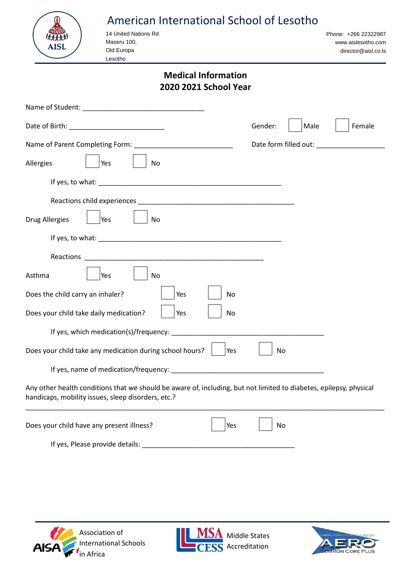|             | American International School of Lesotho |                                            |
|-------------|------------------------------------------|--------------------------------------------|
|             | 14 United Nations Rd<br>Maseru 100,      | Phone: +266 22322987<br>www.aislesotho.com |
| <b>AISL</b> | Old Europa<br>_esotho                    | director@aisl.co.ls                        |
|             |                                          |                                            |

### **Medical Information 2020 2021 School Year**

|                                                                                                                                                                          | Gender: | Male | Female                |
|--------------------------------------------------------------------------------------------------------------------------------------------------------------------------|---------|------|-----------------------|
|                                                                                                                                                                          |         |      | Date form filled out: |
| Allergies<br>Yes<br>No                                                                                                                                                   |         |      |                       |
|                                                                                                                                                                          |         |      |                       |
|                                                                                                                                                                          |         |      |                       |
| <b>Drug Allergies</b><br>Yes<br>No                                                                                                                                       |         |      |                       |
|                                                                                                                                                                          |         |      |                       |
| Reactions                                                                                                                                                                |         |      |                       |
| Asthma<br><b>No</b><br>Yes                                                                                                                                               |         |      |                       |
| Does the child carry an inhaler?<br>Yes<br>No                                                                                                                            |         |      |                       |
| Does your child take daily medication?<br>Yes<br>No                                                                                                                      |         |      |                       |
| If yes, which medication(s)/frequency: ____                                                                                                                              |         |      |                       |
| Does your child take any medication during school hours?<br>Yes                                                                                                          | No      |      |                       |
|                                                                                                                                                                          |         |      |                       |
| Any other health conditions that we should be aware of, including, but not limited to diabetes, epilepsy, physical<br>handicaps, mobility issues, sleep disorders, etc.? |         |      |                       |
| Does your child have any present illness?<br>Yes                                                                                                                         | No      |      |                       |



If yes, Please provide details: \_\_\_\_\_\_\_\_\_\_\_\_\_\_\_\_\_\_\_\_\_\_\_\_\_\_\_\_\_\_\_\_\_\_\_\_\_\_\_\_



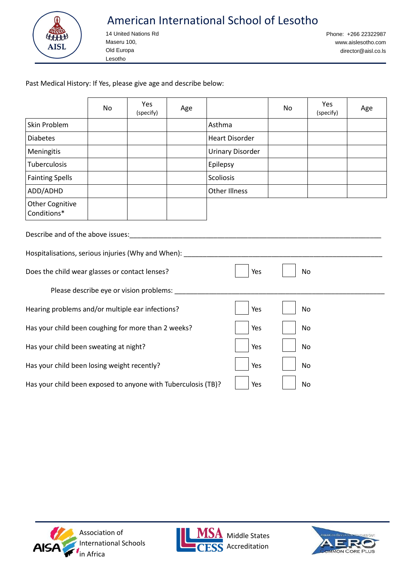

# American International School of Lesotho

14 United Nations Rd Maseru 100, Old Europa Lesotho

Phone: +266 22322987 www.aislesotho.com [director@aisl.co.ls](mailto:director@aisl.co.ls)

Past Medical History: If Yes, please give age and describe below:

|                                                               | <b>No</b> | Yes<br>(specify)                        | Age |                         | No | Yes<br>(specify) | Age |
|---------------------------------------------------------------|-----------|-----------------------------------------|-----|-------------------------|----|------------------|-----|
| Skin Problem                                                  |           |                                         |     | Asthma                  |    |                  |     |
| <b>Diabetes</b>                                               |           |                                         |     | <b>Heart Disorder</b>   |    |                  |     |
| Meningitis                                                    |           |                                         |     | <b>Urinary Disorder</b> |    |                  |     |
| Tuberculosis                                                  |           |                                         |     | Epilepsy                |    |                  |     |
| <b>Fainting Spells</b>                                        |           |                                         |     | Scoliosis               |    |                  |     |
| ADD/ADHD                                                      |           |                                         |     | <b>Other Illness</b>    |    |                  |     |
| <b>Other Cognitive</b><br>Conditions*                         |           |                                         |     |                         |    |                  |     |
| Describe and of the above issues:                             |           |                                         |     |                         |    |                  |     |
| Hospitalisations, serious injuries (Why and When): ____       |           |                                         |     |                         |    |                  |     |
| Does the child wear glasses or contact lenses?                |           |                                         |     | Yes                     |    | No               |     |
|                                                               |           | Please describe eye or vision problems: |     |                         |    |                  |     |
| Hearing problems and/or multiple ear infections?              |           |                                         |     | Yes                     |    | No               |     |
| Has your child been coughing for more than 2 weeks?           |           |                                         |     | Yes                     |    | No               |     |
| Has your child been sweating at night?                        |           |                                         |     | Yes                     |    | No               |     |
| Has your child been losing weight recently?                   |           |                                         |     | Yes                     |    | No               |     |
| Has your child been exposed to anyone with Tuberculosis (TB)? |           |                                         |     | Yes                     |    | No               |     |





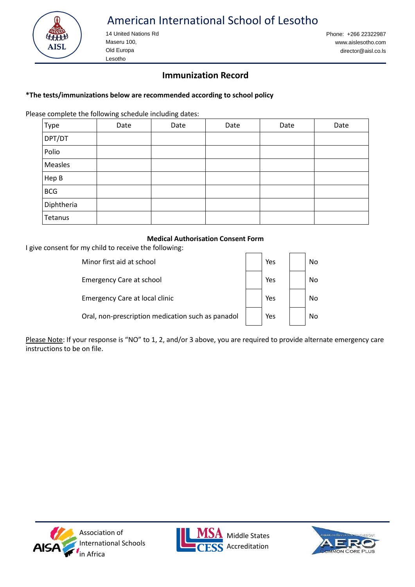

# American International School of Lesotho

14 United Nations Rd Maseru 100, Old Europa Lesotho

Phone: +266 22322987 www.aislesotho.com [director@aisl.co.ls](mailto:director@aisl.co.ls)

### **Immunization Record**

#### **\*The tests/immunizations below are recommended according to school policy**

Please complete the following schedule including dates:

| Type       | Date | Date | Date | Date | Date |
|------------|------|------|------|------|------|
| DPT/DT     |      |      |      |      |      |
| Polio      |      |      |      |      |      |
| Measles    |      |      |      |      |      |
| Hep B      |      |      |      |      |      |
| <b>BCG</b> |      |      |      |      |      |
| Diphtheria |      |      |      |      |      |
| Tetanus    |      |      |      |      |      |

#### **Medical Authorisation Consent Form**

I give consent for my child to receive the following:

| Minor first aid at school                         | Yes | No. |
|---------------------------------------------------|-----|-----|
| <b>Emergency Care at school</b>                   | Yes | No  |
| Emergency Care at local clinic                    | Yes | No  |
| Oral, non-prescription medication such as panadol | Yes | Nο  |

Please Note: If your response is "NO" to 1, 2, and/or 3 above, you are required to provide alternate emergency care instructions to be on file.





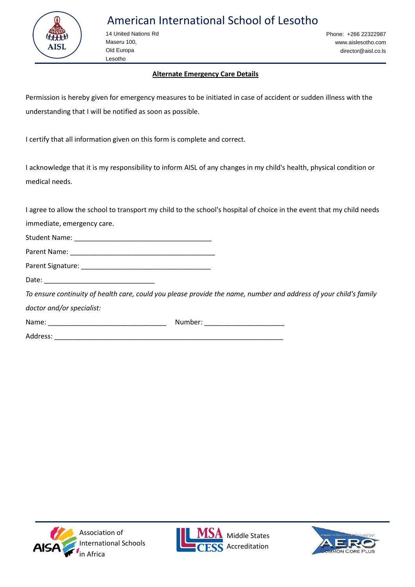

14 United Nations Rd Maseru 100, Old Europa Lesotho

Phone: +266 22322987 www.aislesotho.com [director@aisl.co.ls](mailto:director@aisl.co.ls)

#### **Alternate Emergency Care Details**

Permission is hereby given for emergency measures to be initiated in case of accident or sudden illness with the understanding that I will be notified as soon as possible.

I certify that all information given on this form is complete and correct.

I acknowledge that it is my responsibility to inform AISL of any changes in my child's health, physical condition or medical needs.

I agree to allow the school to transport my child to the school's hospital of choice in the event that my child needs

immediate, emergency care.

Student Name: \_\_\_\_\_\_\_\_\_\_\_\_\_\_\_\_\_\_\_\_\_\_\_\_\_\_\_\_\_\_\_\_\_\_\_\_ Parent Name: **Example 20** 

Parent Signature: \_\_\_\_\_\_\_\_\_\_\_\_\_\_\_\_\_\_\_\_\_\_\_\_\_\_\_\_\_\_\_\_\_\_

Date:

*To ensure continuity of health care, could you please provide the name, number and address of your child's family doctor and/or specialist:*

| Name: | Number: |
|-------|---------|
|-------|---------|

Address: \_\_\_\_\_\_\_\_\_\_\_\_\_\_\_\_\_\_\_\_\_\_\_\_\_\_\_\_\_\_\_\_\_\_\_\_\_\_\_\_\_\_\_\_\_\_\_\_\_\_\_\_\_\_\_\_\_\_\_\_





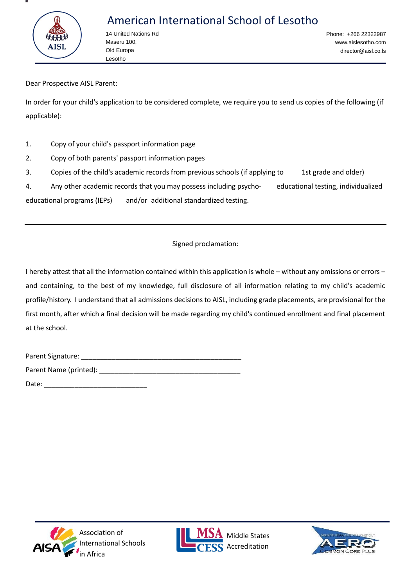

# American International School of Lesotho

14 United Nations Rd Maseru 100, Old Europa Lesotho

Phone: +266 22322987 www.aislesotho.com [director@aisl.co.ls](mailto:director@aisl.co.ls)

Dear Prospective AISL Parent:

In order for your child's application to be considered complete, we require you to send us copies of the following (if applicable):

- 1. Copy of your child's passport information page
- 2. Copy of both parents' passport information pages
- 3. Copies of the child's academic records from previous schools (if applying to 1st grade and older)

4. Any other academic records that you may possess including psycho- educational testing, individualized educational programs (IEPs) and/or additional standardized testing.

Signed proclamation:

I hereby attest that all the information contained within this application is whole – without any omissions or errors – and containing, to the best of my knowledge, full disclosure of all information relating to my child's academic profile/history. I understand that all admissions decisions to AISL, including grade placements, are provisional for the first month, after which a final decision will be made regarding my child's continued enrollment and final placement at the school.

| Parent Signature:      |  |
|------------------------|--|
| Parent Name (printed): |  |
| Date:                  |  |